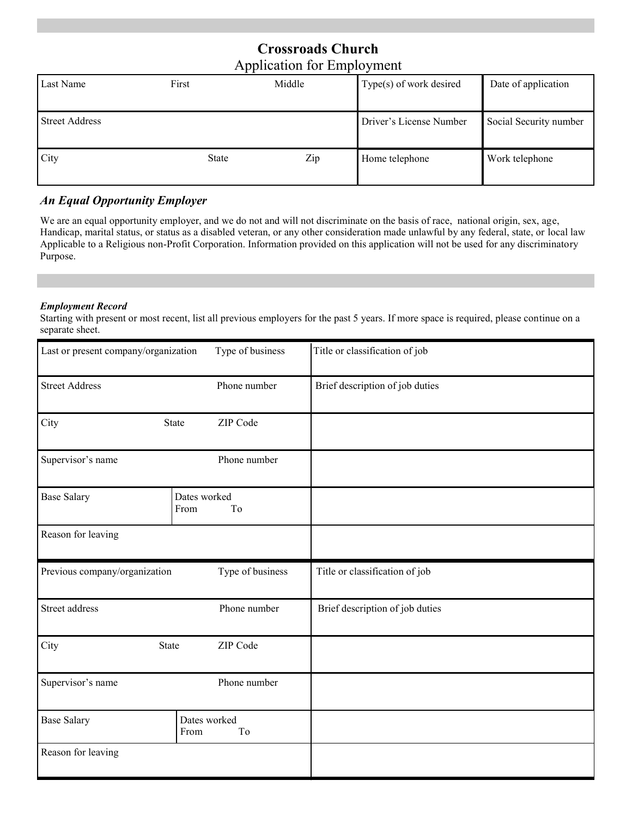# **Crossroads Church**  Application for Employment

| Last Name             | First        | Middle | Type(s) of work desired | Date of application    |
|-----------------------|--------------|--------|-------------------------|------------------------|
| <b>Street Address</b> |              |        | Driver's License Number | Social Security number |
| City                  | <b>State</b> | Zip    | Home telephone          | Work telephone         |

## *An Equal Opportunity Employer*

We are an equal opportunity employer, and we do not and will not discriminate on the basis of race, national origin, sex, age, Handicap, marital status, or status as a disabled veteran, or any other consideration made unlawful by any federal, state, or local law Applicable to a Religious non-Profit Corporation. Information provided on this application will not be used for any discriminatory Purpose.

#### *Employment Record*

Starting with present or most recent, list all previous employers for the past 5 years. If more space is required, please continue on a separate sheet.

| Last or present company/organization | Type of business           | Title or classification of job  |
|--------------------------------------|----------------------------|---------------------------------|
| <b>Street Address</b>                | Phone number               | Brief description of job duties |
| City                                 | ZIP Code<br><b>State</b>   |                                 |
| Supervisor's name                    | Phone number               |                                 |
| <b>Base Salary</b>                   | Dates worked<br>From<br>To |                                 |
| Reason for leaving                   |                            |                                 |
| Previous company/organization        | Type of business           | Title or classification of job  |
| Street address                       | Phone number               | Brief description of job duties |
| City<br>State                        |                            |                                 |
|                                      | ZIP Code                   |                                 |
| Supervisor's name                    | Phone number               |                                 |
| <b>Base Salary</b>                   | Dates worked<br>From<br>To |                                 |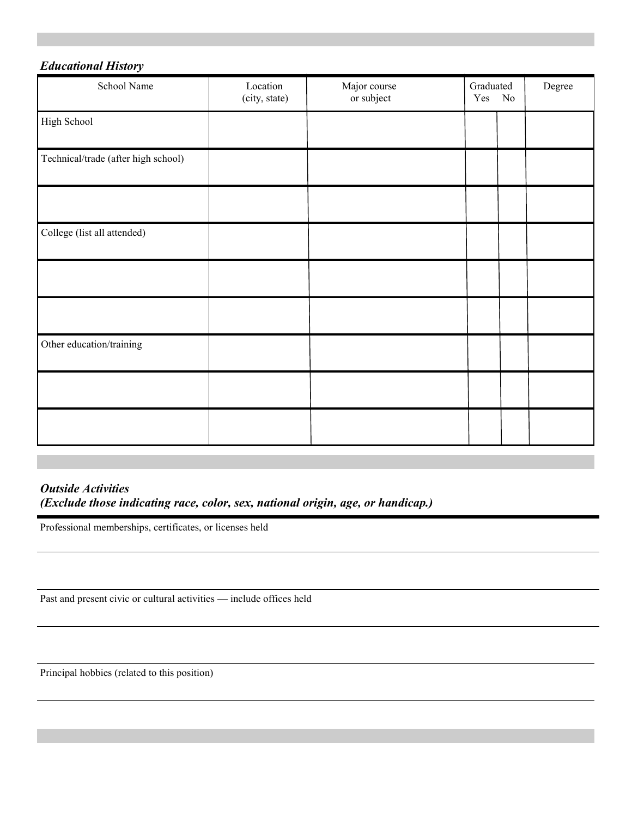### *Educational History*

| School Name                         | Location<br>(city, state) | Major course<br>or subject | Graduated<br>Yes No | $\operatorname{Degree}$ |
|-------------------------------------|---------------------------|----------------------------|---------------------|-------------------------|
| High School                         |                           |                            |                     |                         |
| Technical/trade (after high school) |                           |                            |                     |                         |
|                                     |                           |                            |                     |                         |
| College (list all attended)         |                           |                            |                     |                         |
|                                     |                           |                            |                     |                         |
|                                     |                           |                            |                     |                         |
| Other education/training            |                           |                            |                     |                         |
|                                     |                           |                            |                     |                         |
|                                     |                           |                            |                     |                         |

#### *Outside Activities (Exclude those indicating race, color, sex, national origin, age, or handicap.)*

Professional memberships, certificates, or licenses held

Past and present civic or cultural activities — include offices held

Principal hobbies (related to this position)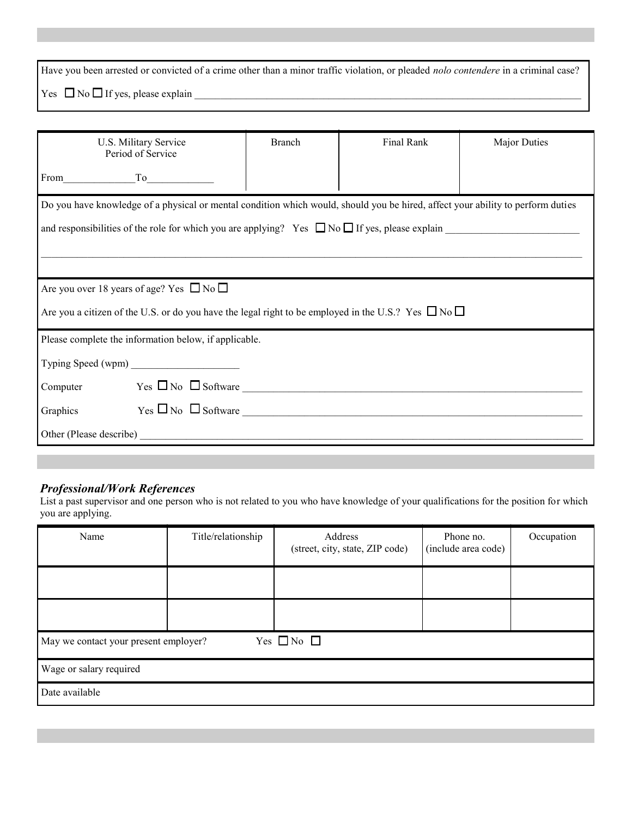Have you been arrested or convicted of a crime other than a minor traffic violation, or pleaded *nolo contendere* in a criminal case? Yes  $\Box$  No  $\Box$  If yes, please explain

| U.S. Military Service<br>Period of Service                                                                                      | <b>Branch</b> | Final Rank | <b>Major Duties</b> |  |  |
|---------------------------------------------------------------------------------------------------------------------------------|---------------|------------|---------------------|--|--|
| $From$ $To$                                                                                                                     |               |            |                     |  |  |
| Do you have knowledge of a physical or mental condition which would, should you be hired, affect your ability to perform duties |               |            |                     |  |  |
| and responsibilities of the role for which you are applying? Yes $\Box$ No $\Box$ If yes, please explain                        |               |            |                     |  |  |
|                                                                                                                                 |               |            |                     |  |  |
|                                                                                                                                 |               |            |                     |  |  |
| Are you over 18 years of age? Yes $\Box$ No $\Box$                                                                              |               |            |                     |  |  |
| Are you a citizen of the U.S. or do you have the legal right to be employed in the U.S.? Yes $\Box$ No $\Box$                   |               |            |                     |  |  |
| Please complete the information below, if applicable.                                                                           |               |            |                     |  |  |
| Typing Speed (wpm)                                                                                                              |               |            |                     |  |  |
| Computer $Yes \Box No \Box Software$                                                                                            |               |            |                     |  |  |
| Graphics $Yes \Box No \Box Software$                                                                                            |               |            |                     |  |  |
|                                                                                                                                 |               |            |                     |  |  |

#### *Professional/Work References*

List a past supervisor and one person who is not related to you who have knowledge of your qualifications for the position for which you are applying.

| Name                                                          | Title/relationship | Address<br>(street, city, state, ZIP code) | Phone no.<br>(include area code) | Occupation |  |  |
|---------------------------------------------------------------|--------------------|--------------------------------------------|----------------------------------|------------|--|--|
|                                                               |                    |                                            |                                  |            |  |  |
|                                                               |                    |                                            |                                  |            |  |  |
| Yes $\Box$ No $\Box$<br>May we contact your present employer? |                    |                                            |                                  |            |  |  |
| Wage or salary required                                       |                    |                                            |                                  |            |  |  |
| Date available                                                |                    |                                            |                                  |            |  |  |